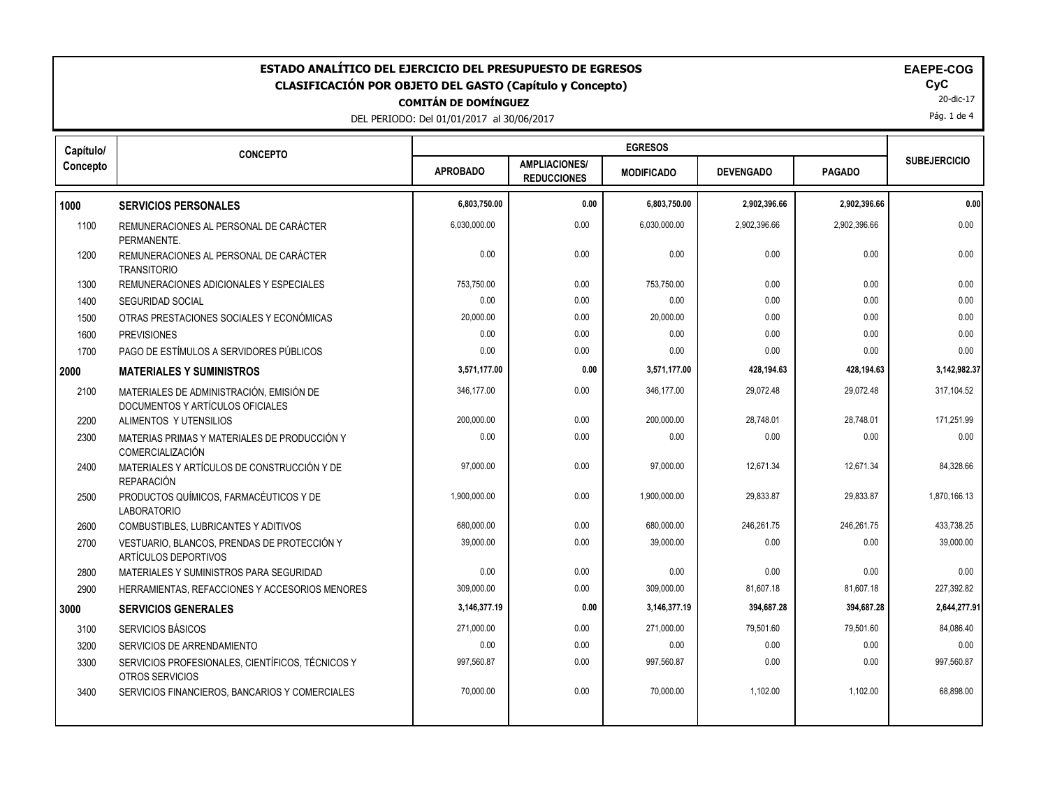| ESTADO ANALÍTICO DEL EJERCICIO DEL PRESUPUESTO DE EGRESOS<br><b>EAEPE-COG</b><br>CyC<br><b>CLASIFICACIÓN POR OBJETO DEL GASTO (Capítulo y Concepto)</b><br>20-dic-17<br><b>COMITÁN DE DOMÍNGUEZ</b><br>Pág. 1 de 4<br>DEL PERIODO: Del 01/01/2017 al 30/06/2017 |                                                                              |                 |                                            |                   |                  |               |                     |
|-----------------------------------------------------------------------------------------------------------------------------------------------------------------------------------------------------------------------------------------------------------------|------------------------------------------------------------------------------|-----------------|--------------------------------------------|-------------------|------------------|---------------|---------------------|
| Capítulo/                                                                                                                                                                                                                                                       | <b>CONCEPTO</b>                                                              |                 |                                            | <b>EGRESOS</b>    |                  |               | <b>SUBEJERCICIO</b> |
| Concepto                                                                                                                                                                                                                                                        |                                                                              | <b>APROBADO</b> | <b>AMPLIACIONES/</b><br><b>REDUCCIONES</b> | <b>MODIFICADO</b> | <b>DEVENGADO</b> | <b>PAGADO</b> |                     |
| 1000                                                                                                                                                                                                                                                            | <b>SERVICIOS PERSONALES</b>                                                  | 6,803,750.00    | 0.00                                       | 6,803,750.00      | 2,902,396.66     | 2,902,396.66  | 0.00                |
| 1100                                                                                                                                                                                                                                                            | REMUNERACIONES AL PERSONAL DE CARÁCTER<br>PERMANENTE.                        | 6.030.000.00    | 0.00                                       | 6.030.000.00      | 2.902.396.66     | 2,902,396.66  | 0.00                |
| 1200                                                                                                                                                                                                                                                            | REMUNERACIONES AL PERSONAL DE CARÁCTER<br><b>TRANSITORIO</b>                 | 0.00            | 0.00                                       | 0.00              | 0.00             | 0.00          | 0.00                |
| 1300                                                                                                                                                                                                                                                            | REMUNERACIONES ADICIONALES Y ESPECIALES                                      | 753,750.00      | 0.00                                       | 753,750.00        | 0.00             | 0.00          | 0.00                |
| 1400                                                                                                                                                                                                                                                            | <b>SEGURIDAD SOCIAL</b>                                                      | 0.00            | 0.00                                       | 0.00              | 0.00             | 0.00          | 0.00                |
| 1500                                                                                                                                                                                                                                                            | OTRAS PRESTACIONES SOCIALES Y ECONÓMICAS                                     | 20,000.00       | 0.00                                       | 20,000.00         | 0.00             | 0.00          | 0.00                |
| 1600                                                                                                                                                                                                                                                            | <b>PREVISIONES</b>                                                           | 0.00            | 0.00                                       | 0.00              | 0.00             | 0.00          | 0.00                |
| 1700                                                                                                                                                                                                                                                            | PAGO DE ESTÍMULOS A SERVIDORES PÚBLICOS                                      | 0.00            | 0.00                                       | 0.00              | 0.00             | 0.00          | 0.00                |
| 2000                                                                                                                                                                                                                                                            | <b>MATERIALES Y SUMINISTROS</b>                                              | 3,571,177.00    | 0.00                                       | 3,571,177.00      | 428,194.63       | 428,194.63    | 3,142,982.37        |
| 2100                                                                                                                                                                                                                                                            | MATERIALES DE ADMINISTRACIÓN, EMISIÓN DE<br>DOCUMENTOS Y ARTÍCULOS OFICIALES | 346,177.00      | 0.00                                       | 346,177.00        | 29,072.48        | 29,072.48     | 317,104.52          |
| 2200                                                                                                                                                                                                                                                            | ALIMENTOS Y UTENSILIOS                                                       | 200,000.00      | 0.00                                       | 200,000.00        | 28,748.01        | 28,748.01     | 171,251.99          |
| 2300                                                                                                                                                                                                                                                            | MATERIAS PRIMAS Y MATERIALES DE PRODUCCIÓN Y<br>COMERCIALIZACIÓN             | 0.00            | 0.00                                       | 0.00              | 0.00             | 0.00          | 0.00                |
| 2400                                                                                                                                                                                                                                                            | MATERIALES Y ARTÍCULOS DE CONSTRUCCIÓN Y DE<br><b>REPARACIÓN</b>             | 97,000.00       | 0.00                                       | 97,000.00         | 12,671.34        | 12,671.34     | 84,328.66           |
| 2500                                                                                                                                                                                                                                                            | PRODUCTOS QUÍMICOS, FARMACÉUTICOS Y DE<br><b>LABORATORIO</b>                 | 1,900,000.00    | 0.00                                       | 1,900,000.00      | 29,833.87        | 29,833.87     | 1,870,166.13        |
| 2600                                                                                                                                                                                                                                                            | COMBUSTIBLES, LUBRICANTES Y ADITIVOS                                         | 680,000.00      | 0.00                                       | 680.000.00        | 246,261.75       | 246,261.75    | 433,738.25          |
| 2700                                                                                                                                                                                                                                                            | VESTUARIO, BLANCOS, PRENDAS DE PROTECCIÓN Y<br><b>ARTÍCULOS DEPORTIVOS</b>   | 39,000.00       | 0.00                                       | 39,000.00         | 0.00             | 0.00          | 39,000.00           |
| 2800                                                                                                                                                                                                                                                            | MATERIALES Y SUMINISTROS PARA SEGURIDAD                                      | 0.00            | 0.00                                       | 0.00              | 0.00             | 0.00          | 0.00                |
| 2900                                                                                                                                                                                                                                                            | HERRAMIENTAS, REFACCIONES Y ACCESORIOS MENORES                               | 309,000.00      | 0.00                                       | 309,000.00        | 81,607.18        | 81,607.18     | 227,392.82          |
| 3000                                                                                                                                                                                                                                                            | <b>SERVICIOS GENERALES</b>                                                   | 3,146,377.19    | 0.00                                       | 3,146,377.19      | 394,687.28       | 394,687.28    | 2,644,277.91        |
| 3100                                                                                                                                                                                                                                                            | SERVICIOS BÁSICOS                                                            | 271,000.00      | 0.00                                       | 271,000.00        | 79,501.60        | 79,501.60     | 84,086.40           |
| 3200                                                                                                                                                                                                                                                            | SERVICIOS DE ARRENDAMIENTO                                                   | 0.00            | 0.00                                       | 0.00              | 0.00             | 0.00          | 0.00                |
| 3300                                                                                                                                                                                                                                                            | SERVICIOS PROFESIONALES, CIENTÍFICOS, TÉCNICOS Y<br>OTROS SERVICIOS          | 997,560.87      | 0.00                                       | 997,560.87        | 0.00             | 0.00          | 997,560.87          |
| 3400                                                                                                                                                                                                                                                            | SERVICIOS FINANCIEROS, BANCARIOS Y COMERCIALES                               | 70,000.00       | 0.00                                       | 70,000.00         | 1,102.00         | 1,102.00      | 68,898.00           |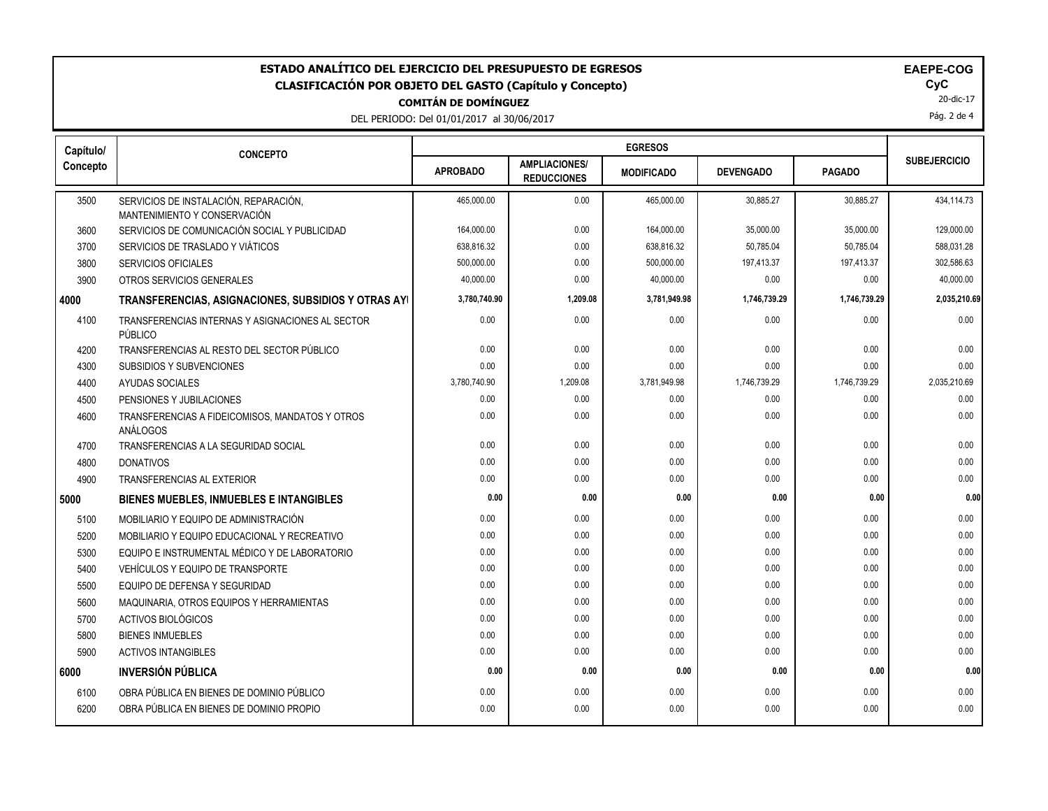| ESTADO ANALÍTICO DEL EJERCICIO DEL PRESUPUESTO DE EGRESOS<br><b>EAEPE-COG</b><br>CyC<br><b>CLASIFICACIÓN POR OBJETO DEL GASTO (Capítulo y Concepto)</b><br>20-dic-17<br><b>COMITÁN DE DOMÍNGUEZ</b><br>Pág. 2 de 4<br>DEL PERIODO: Del 01/01/2017 al 30/06/2017 |                                                                       |                 |                                            |                   |                  |               |                     |
|-----------------------------------------------------------------------------------------------------------------------------------------------------------------------------------------------------------------------------------------------------------------|-----------------------------------------------------------------------|-----------------|--------------------------------------------|-------------------|------------------|---------------|---------------------|
| Capítulo/                                                                                                                                                                                                                                                       | <b>CONCEPTO</b>                                                       |                 |                                            |                   |                  |               |                     |
| Concepto                                                                                                                                                                                                                                                        |                                                                       | <b>APROBADO</b> | <b>AMPLIACIONES/</b><br><b>REDUCCIONES</b> | <b>MODIFICADO</b> | <b>DEVENGADO</b> | <b>PAGADO</b> | <b>SUBEJERCICIO</b> |
| 3500                                                                                                                                                                                                                                                            | SERVICIOS DE INSTALACIÓN, REPARACIÓN,<br>MANTENIMIENTO Y CONSERVACIÓN | 465,000.00      | 0.00                                       | 465,000.00        | 30,885.27        | 30.885.27     | 434,114.73          |
| 3600                                                                                                                                                                                                                                                            | SERVICIOS DE COMUNICACIÓN SOCIAL Y PUBLICIDAD                         | 164,000.00      | 0.00                                       | 164,000.00        | 35,000.00        | 35,000.00     | 129,000.00          |
| 3700                                                                                                                                                                                                                                                            | SERVICIOS DE TRASLADO Y VIÁTICOS                                      | 638,816.32      | 0.00                                       | 638,816.32        | 50,785.04        | 50,785.04     | 588,031.28          |
| 3800                                                                                                                                                                                                                                                            | <b>SERVICIOS OFICIALES</b>                                            | 500,000.00      | 0.00                                       | 500,000.00        | 197,413.37       | 197,413.37    | 302,586.63          |
| 3900                                                                                                                                                                                                                                                            | OTROS SERVICIOS GENERALES                                             | 40,000.00       | 0.00                                       | 40,000.00         | 0.00             | 0.00          | 40,000.00           |
| 4000                                                                                                                                                                                                                                                            | TRANSFERENCIAS, ASIGNACIONES, SUBSIDIOS Y OTRAS AYI                   | 3,780,740.90    | 1,209.08                                   | 3,781,949.98      | 1,746,739.29     | 1,746,739.29  | 2,035,210.69        |
| 4100                                                                                                                                                                                                                                                            | TRANSFERENCIAS INTERNAS Y ASIGNACIONES AL SECTOR<br>PÚBLICO           | 0.00            | 0.00                                       | 0.00              | 0.00             | 0.00          | 0.00                |
| 4200                                                                                                                                                                                                                                                            | TRANSFERENCIAS AL RESTO DEL SECTOR PÚBLICO                            | 0.00            | 0.00                                       | 0.00              | 0.00             | 0.00          | 0.00                |
| 4300                                                                                                                                                                                                                                                            | SUBSIDIOS Y SUBVENCIONES                                              | 0.00            | 0.00                                       | 0.00              | 0.00             | 0.00          | 0.00                |
| 4400                                                                                                                                                                                                                                                            | AYUDAS SOCIALES                                                       | 3,780,740.90    | 1,209.08                                   | 3,781,949.98      | 1,746,739.29     | 1,746,739.29  | 2,035,210.69        |
| 4500                                                                                                                                                                                                                                                            | PENSIONES Y JUBILACIONES                                              | 0.00            | 0.00                                       | 0.00              | 0.00             | 0.00          | 0.00                |
| 4600                                                                                                                                                                                                                                                            | TRANSFERENCIAS A FIDEICOMISOS, MANDATOS Y OTROS<br>ANÁLOGOS           | 0.00            | 0.00                                       | 0.00              | 0.00             | 0.00          | 0.00                |
| 4700                                                                                                                                                                                                                                                            | TRANSFERENCIAS A LA SEGURIDAD SOCIAL                                  | 0.00            | 0.00                                       | 0.00              | 0.00             | 0.00          | 0.00                |
| 4800                                                                                                                                                                                                                                                            | <b>DONATIVOS</b>                                                      | 0.00            | 0.00                                       | 0.00              | 0.00             | 0.00          | 0.00                |
| 4900                                                                                                                                                                                                                                                            | <b>TRANSFERENCIAS AL EXTERIOR</b>                                     | 0.00            | 0.00                                       | 0.00              | 0.00             | 0.00          | 0.00                |
| 5000                                                                                                                                                                                                                                                            | BIENES MUEBLES, INMUEBLES E INTANGIBLES                               | 0.00            | 0.00                                       | 0.00              | 0.00             | 0.00          | 0.00                |
| 5100                                                                                                                                                                                                                                                            | MOBILIARIO Y EQUIPO DE ADMINISTRACIÓN                                 | 0.00            | 0.00                                       | 0.00              | 0.00             | 0.00          | 0.00                |
| 5200                                                                                                                                                                                                                                                            | MOBILIARIO Y EQUIPO EDUCACIONAL Y RECREATIVO                          | 0.00            | 0.00                                       | 0.00              | 0.00             | 0.00          | 0.00                |
| 5300                                                                                                                                                                                                                                                            | EQUIPO E INSTRUMENTAL MÉDICO Y DE LABORATORIO                         | 0.00            | 0.00                                       | 0.00              | 0.00             | 0.00          | 0.00                |
| 5400                                                                                                                                                                                                                                                            | VEHÍCULOS Y EQUIPO DE TRANSPORTE                                      | 0.00            | 0.00                                       | 0.00              | 0.00             | 0.00          | 0.00                |
| 5500                                                                                                                                                                                                                                                            | EQUIPO DE DEFENSA Y SEGURIDAD                                         | 0.00            | 0.00                                       | 0.00              | 0.00             | 0.00          | 0.00                |
| 5600                                                                                                                                                                                                                                                            | MAQUINARIA, OTROS EQUIPOS Y HERRAMIENTAS                              | 0.00            | 0.00                                       | 0.00              | 0.00             | 0.00          | 0.00                |
| 5700                                                                                                                                                                                                                                                            | ACTIVOS BIOLÓGICOS                                                    | 0.00            | 0.00                                       | 0.00              | 0.00             | 0.00          | 0.00                |
| 5800                                                                                                                                                                                                                                                            | <b>BIENES INMUEBLES</b>                                               | 0.00            | 0.00                                       | 0.00              | 0.00             | 0.00          | 0.00                |
| 5900                                                                                                                                                                                                                                                            | <b>ACTIVOS INTANGIBLES</b>                                            | 0.00            | 0.00                                       | 0.00              | 0.00             | 0.00          | 0.00                |
| 6000                                                                                                                                                                                                                                                            | <b>INVERSIÓN PÚBLICA</b>                                              | 0.00            | 0.00                                       | 0.00              | 0.00             | 0.00          | 0.00                |
| 6100                                                                                                                                                                                                                                                            | OBRA PÚBLICA EN BIENES DE DOMINIO PÚBLICO                             | 0.00            | 0.00                                       | 0.00              | 0.00             | 0.00          | 0.00                |
| 6200                                                                                                                                                                                                                                                            | OBRA PÚBLICA EN BIENES DE DOMINIO PROPIO                              | 0.00            | 0.00                                       | 0.00              | 0.00             | 0.00          | 0.00                |
|                                                                                                                                                                                                                                                                 |                                                                       |                 |                                            |                   |                  |               |                     |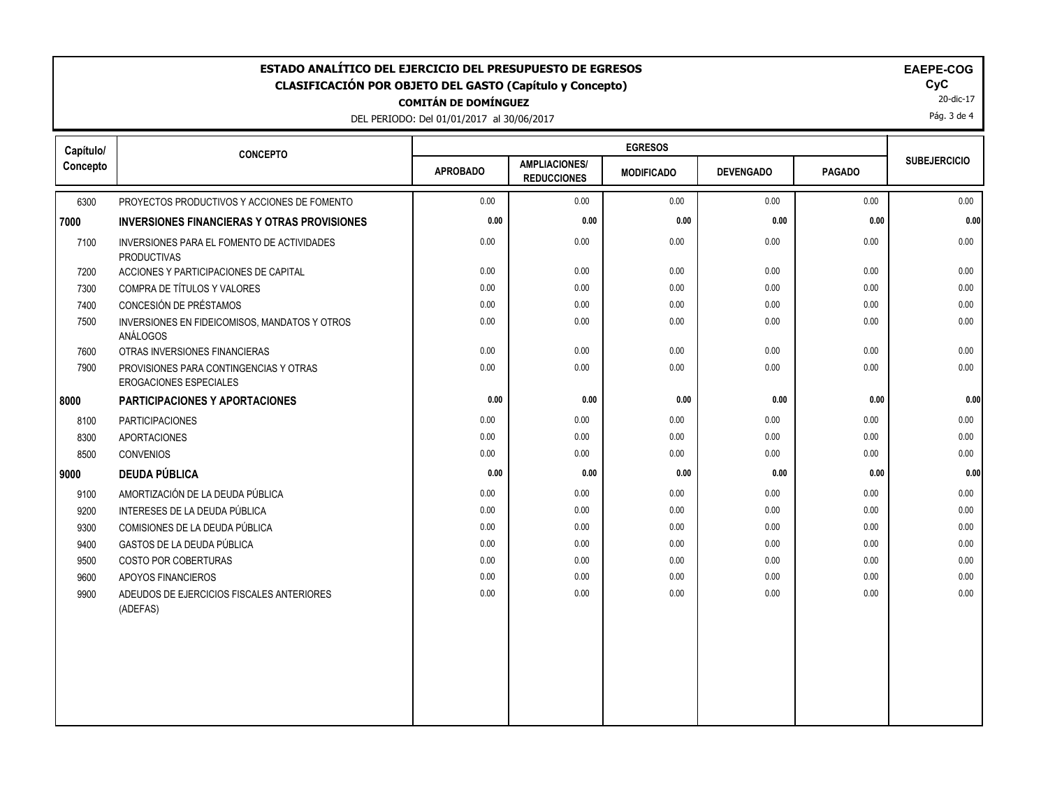| <b>EGRESOS</b><br>Capítulo/<br><b>CONCEPTO</b><br><b>SUBEJERCICIO</b><br><b>AMPLIACIONES/</b><br><b>APROBADO</b><br><b>PAGADO</b><br><b>DEVENGADO</b><br><b>MODIFICADO</b><br><b>REDUCCIONES</b><br>0.00<br>0.00<br>0.00<br>0.00<br>6300<br>PROYECTOS PRODUCTIVOS Y ACCIONES DE FOMENTO<br>0.00<br>0.00<br>0.00<br>0.00<br>0.00<br>0.00<br><b>INVERSIONES FINANCIERAS Y OTRAS PROVISIONES</b><br>0.00<br>0.00<br>0.00<br>0.00<br>0.00<br>7100<br>INVERSIONES PARA EL FOMENTO DE ACTIVIDADES<br><b>PRODUCTIVAS</b><br>7200<br>ACCIONES Y PARTICIPACIONES DE CAPITAL<br>0.00<br>0.00<br>0.00<br>0.00<br>0.00<br>0.00<br>COMPRA DE TÍTULOS Y VALORES<br>0.00<br>0.00<br>0.00<br>0.00<br>7300<br>CONCESIÓN DE PRÉSTAMOS<br>0.00<br>0.00<br>0.00<br>7400<br>0.00<br>0.00<br>0.00<br>0.00<br>0.00<br>0.00<br>0.00<br>7500<br>INVERSIONES EN FIDEICOMISOS, MANDATOS Y OTROS<br>ANÁLOGOS<br>0.00<br>0.00<br>0.00<br>0.00<br>OTRAS INVERSIONES FINANCIERAS<br>0.00<br>7600<br>0.00<br>0.00<br>0.00<br>0.00<br>0.00<br>7900<br>PROVISIONES PARA CONTINGENCIAS Y OTRAS<br>EROGACIONES ESPECIALES<br>0.00<br>0.00<br>0.00<br>0.00<br>0.00<br><b>PARTICIPACIONES Y APORTACIONES</b><br>0.00<br>0.00<br>0.00<br>0.00<br><b>PARTICIPACIONES</b><br>0.00<br>8100<br>8300<br><b>APORTACIONES</b><br>0.00<br>0.00<br>0.00<br>0.00<br>0.00<br>0.00<br>0.00<br>0.00<br>0.00<br>0.00<br>8500<br><b>CONVENIOS</b><br>0.00<br>0.00<br>0.00<br>0.00<br><b>DEUDA PÚBLICA</b><br>0.00<br>0.00<br>0.00<br>0.00<br>AMORTIZACIÓN DE LA DEUDA PÚBLICA<br>0.00<br>0.00<br>9100<br>9200<br>INTERESES DE LA DEUDA PÚBLICA<br>0.00<br>0.00<br>0.00<br>0.00<br>0.00<br>0.00<br>0.00<br>0.00<br>0.00<br>0.00<br>9300<br>COMISIONES DE LA DEUDA PÚBLICA<br>0.00<br>0.00<br><b>GASTOS DE LA DEUDA PÚBLICA</b><br>0.00<br>0.00<br>0.00<br>9400<br>0.00<br>9500<br>COSTO POR COBERTURAS<br>0.00<br>0.00<br>0.00<br>0.00<br>0.00<br>0.00<br>0.00<br>0.00<br>0.00<br>9600<br>APOYOS FINANCIEROS<br>9900<br>0.00<br>0.00<br>0.00<br>0.00<br>0.00<br>ADEUDOS DE EJERCICIOS FISCALES ANTERIORES<br>(ADEFAS) | ESTADO ANALÍTICO DEL EJERCICIO DEL PRESUPUESTO DE EGRESOS<br>EAEPE-COG<br>CyC<br><b>CLASIFICACIÓN POR OBJETO DEL GASTO (Capítulo y Concepto)</b><br>20-dic-17<br><b>COMITÁN DE DOMÍNGUEZ</b><br>Pág. 3 de 4<br>DEL PERIODO: Del 01/01/2017 al 30/06/2017 |  |  |  |  |  |  |          |
|----------------------------------------------------------------------------------------------------------------------------------------------------------------------------------------------------------------------------------------------------------------------------------------------------------------------------------------------------------------------------------------------------------------------------------------------------------------------------------------------------------------------------------------------------------------------------------------------------------------------------------------------------------------------------------------------------------------------------------------------------------------------------------------------------------------------------------------------------------------------------------------------------------------------------------------------------------------------------------------------------------------------------------------------------------------------------------------------------------------------------------------------------------------------------------------------------------------------------------------------------------------------------------------------------------------------------------------------------------------------------------------------------------------------------------------------------------------------------------------------------------------------------------------------------------------------------------------------------------------------------------------------------------------------------------------------------------------------------------------------------------------------------------------------------------------------------------------------------------------------------------------------------------------------------------------------------------------------------------------------------------------------------------------------------------------|----------------------------------------------------------------------------------------------------------------------------------------------------------------------------------------------------------------------------------------------------------|--|--|--|--|--|--|----------|
|                                                                                                                                                                                                                                                                                                                                                                                                                                                                                                                                                                                                                                                                                                                                                                                                                                                                                                                                                                                                                                                                                                                                                                                                                                                                                                                                                                                                                                                                                                                                                                                                                                                                                                                                                                                                                                                                                                                                                                                                                                                                |                                                                                                                                                                                                                                                          |  |  |  |  |  |  |          |
|                                                                                                                                                                                                                                                                                                                                                                                                                                                                                                                                                                                                                                                                                                                                                                                                                                                                                                                                                                                                                                                                                                                                                                                                                                                                                                                                                                                                                                                                                                                                                                                                                                                                                                                                                                                                                                                                                                                                                                                                                                                                | Concepto                                                                                                                                                                                                                                                 |  |  |  |  |  |  |          |
|                                                                                                                                                                                                                                                                                                                                                                                                                                                                                                                                                                                                                                                                                                                                                                                                                                                                                                                                                                                                                                                                                                                                                                                                                                                                                                                                                                                                                                                                                                                                                                                                                                                                                                                                                                                                                                                                                                                                                                                                                                                                |                                                                                                                                                                                                                                                          |  |  |  |  |  |  | 0.00     |
|                                                                                                                                                                                                                                                                                                                                                                                                                                                                                                                                                                                                                                                                                                                                                                                                                                                                                                                                                                                                                                                                                                                                                                                                                                                                                                                                                                                                                                                                                                                                                                                                                                                                                                                                                                                                                                                                                                                                                                                                                                                                | 7000                                                                                                                                                                                                                                                     |  |  |  |  |  |  | 0.00     |
|                                                                                                                                                                                                                                                                                                                                                                                                                                                                                                                                                                                                                                                                                                                                                                                                                                                                                                                                                                                                                                                                                                                                                                                                                                                                                                                                                                                                                                                                                                                                                                                                                                                                                                                                                                                                                                                                                                                                                                                                                                                                |                                                                                                                                                                                                                                                          |  |  |  |  |  |  | 0.00     |
|                                                                                                                                                                                                                                                                                                                                                                                                                                                                                                                                                                                                                                                                                                                                                                                                                                                                                                                                                                                                                                                                                                                                                                                                                                                                                                                                                                                                                                                                                                                                                                                                                                                                                                                                                                                                                                                                                                                                                                                                                                                                |                                                                                                                                                                                                                                                          |  |  |  |  |  |  | 0.00     |
|                                                                                                                                                                                                                                                                                                                                                                                                                                                                                                                                                                                                                                                                                                                                                                                                                                                                                                                                                                                                                                                                                                                                                                                                                                                                                                                                                                                                                                                                                                                                                                                                                                                                                                                                                                                                                                                                                                                                                                                                                                                                |                                                                                                                                                                                                                                                          |  |  |  |  |  |  | 0.00     |
|                                                                                                                                                                                                                                                                                                                                                                                                                                                                                                                                                                                                                                                                                                                                                                                                                                                                                                                                                                                                                                                                                                                                                                                                                                                                                                                                                                                                                                                                                                                                                                                                                                                                                                                                                                                                                                                                                                                                                                                                                                                                |                                                                                                                                                                                                                                                          |  |  |  |  |  |  | $0.00\,$ |
|                                                                                                                                                                                                                                                                                                                                                                                                                                                                                                                                                                                                                                                                                                                                                                                                                                                                                                                                                                                                                                                                                                                                                                                                                                                                                                                                                                                                                                                                                                                                                                                                                                                                                                                                                                                                                                                                                                                                                                                                                                                                |                                                                                                                                                                                                                                                          |  |  |  |  |  |  | 0.00     |
|                                                                                                                                                                                                                                                                                                                                                                                                                                                                                                                                                                                                                                                                                                                                                                                                                                                                                                                                                                                                                                                                                                                                                                                                                                                                                                                                                                                                                                                                                                                                                                                                                                                                                                                                                                                                                                                                                                                                                                                                                                                                |                                                                                                                                                                                                                                                          |  |  |  |  |  |  | 0.00     |
|                                                                                                                                                                                                                                                                                                                                                                                                                                                                                                                                                                                                                                                                                                                                                                                                                                                                                                                                                                                                                                                                                                                                                                                                                                                                                                                                                                                                                                                                                                                                                                                                                                                                                                                                                                                                                                                                                                                                                                                                                                                                |                                                                                                                                                                                                                                                          |  |  |  |  |  |  | 0.00     |
|                                                                                                                                                                                                                                                                                                                                                                                                                                                                                                                                                                                                                                                                                                                                                                                                                                                                                                                                                                                                                                                                                                                                                                                                                                                                                                                                                                                                                                                                                                                                                                                                                                                                                                                                                                                                                                                                                                                                                                                                                                                                | 8000                                                                                                                                                                                                                                                     |  |  |  |  |  |  | 0.00     |
|                                                                                                                                                                                                                                                                                                                                                                                                                                                                                                                                                                                                                                                                                                                                                                                                                                                                                                                                                                                                                                                                                                                                                                                                                                                                                                                                                                                                                                                                                                                                                                                                                                                                                                                                                                                                                                                                                                                                                                                                                                                                |                                                                                                                                                                                                                                                          |  |  |  |  |  |  | 0.00     |
|                                                                                                                                                                                                                                                                                                                                                                                                                                                                                                                                                                                                                                                                                                                                                                                                                                                                                                                                                                                                                                                                                                                                                                                                                                                                                                                                                                                                                                                                                                                                                                                                                                                                                                                                                                                                                                                                                                                                                                                                                                                                |                                                                                                                                                                                                                                                          |  |  |  |  |  |  | 0.00     |
|                                                                                                                                                                                                                                                                                                                                                                                                                                                                                                                                                                                                                                                                                                                                                                                                                                                                                                                                                                                                                                                                                                                                                                                                                                                                                                                                                                                                                                                                                                                                                                                                                                                                                                                                                                                                                                                                                                                                                                                                                                                                |                                                                                                                                                                                                                                                          |  |  |  |  |  |  | 0.00     |
|                                                                                                                                                                                                                                                                                                                                                                                                                                                                                                                                                                                                                                                                                                                                                                                                                                                                                                                                                                                                                                                                                                                                                                                                                                                                                                                                                                                                                                                                                                                                                                                                                                                                                                                                                                                                                                                                                                                                                                                                                                                                | 9000                                                                                                                                                                                                                                                     |  |  |  |  |  |  | 0.00     |
|                                                                                                                                                                                                                                                                                                                                                                                                                                                                                                                                                                                                                                                                                                                                                                                                                                                                                                                                                                                                                                                                                                                                                                                                                                                                                                                                                                                                                                                                                                                                                                                                                                                                                                                                                                                                                                                                                                                                                                                                                                                                |                                                                                                                                                                                                                                                          |  |  |  |  |  |  | 0.00     |
|                                                                                                                                                                                                                                                                                                                                                                                                                                                                                                                                                                                                                                                                                                                                                                                                                                                                                                                                                                                                                                                                                                                                                                                                                                                                                                                                                                                                                                                                                                                                                                                                                                                                                                                                                                                                                                                                                                                                                                                                                                                                |                                                                                                                                                                                                                                                          |  |  |  |  |  |  | 0.00     |
|                                                                                                                                                                                                                                                                                                                                                                                                                                                                                                                                                                                                                                                                                                                                                                                                                                                                                                                                                                                                                                                                                                                                                                                                                                                                                                                                                                                                                                                                                                                                                                                                                                                                                                                                                                                                                                                                                                                                                                                                                                                                |                                                                                                                                                                                                                                                          |  |  |  |  |  |  | 0.00     |
|                                                                                                                                                                                                                                                                                                                                                                                                                                                                                                                                                                                                                                                                                                                                                                                                                                                                                                                                                                                                                                                                                                                                                                                                                                                                                                                                                                                                                                                                                                                                                                                                                                                                                                                                                                                                                                                                                                                                                                                                                                                                |                                                                                                                                                                                                                                                          |  |  |  |  |  |  | 0.00     |
|                                                                                                                                                                                                                                                                                                                                                                                                                                                                                                                                                                                                                                                                                                                                                                                                                                                                                                                                                                                                                                                                                                                                                                                                                                                                                                                                                                                                                                                                                                                                                                                                                                                                                                                                                                                                                                                                                                                                                                                                                                                                |                                                                                                                                                                                                                                                          |  |  |  |  |  |  | 0.00     |
|                                                                                                                                                                                                                                                                                                                                                                                                                                                                                                                                                                                                                                                                                                                                                                                                                                                                                                                                                                                                                                                                                                                                                                                                                                                                                                                                                                                                                                                                                                                                                                                                                                                                                                                                                                                                                                                                                                                                                                                                                                                                |                                                                                                                                                                                                                                                          |  |  |  |  |  |  | 0.00     |
|                                                                                                                                                                                                                                                                                                                                                                                                                                                                                                                                                                                                                                                                                                                                                                                                                                                                                                                                                                                                                                                                                                                                                                                                                                                                                                                                                                                                                                                                                                                                                                                                                                                                                                                                                                                                                                                                                                                                                                                                                                                                |                                                                                                                                                                                                                                                          |  |  |  |  |  |  | 0.00     |